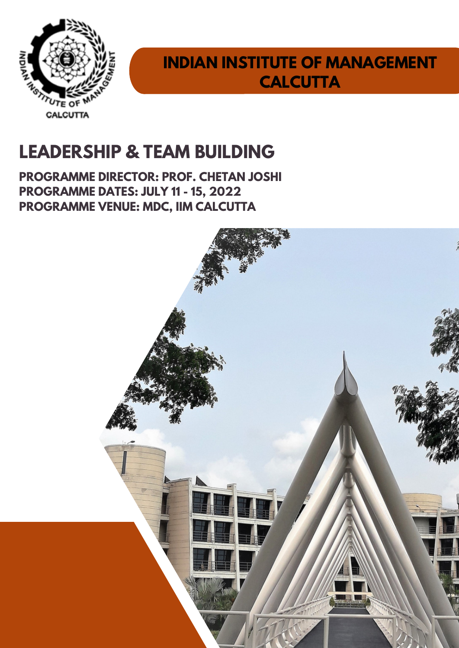

## **INDIAN INSTITUTE OF MANAGEMENT CALCUTTA**

# **LEADERSHIP & TEAM BUILDING**

**PROGRAMME DIRECTOR: PROF. CHETAN JOSHI PROGRAMME DATES: JULY 11 - 15, 2022 PROGRAMME VENUE: MDC, IIM CALCUTTA**

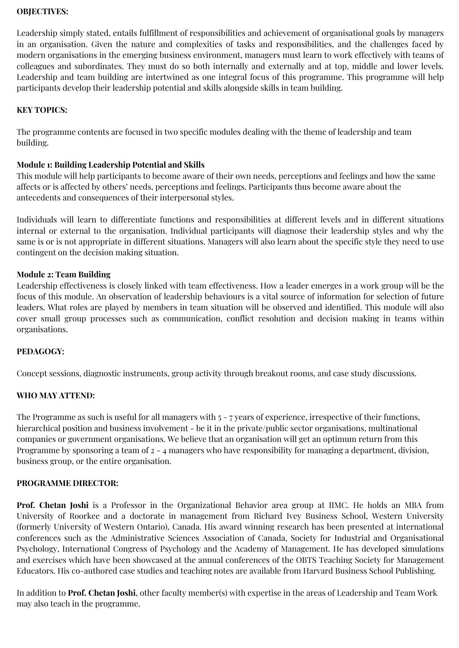#### **OBJECTIVES:**

Leadership simply stated, entails fulfillment of responsibilities and achievement of organisational goals by managers in an organisation. Given the nature and complexities of tasks and responsibilities, and the challenges faced by modern organisations in the emerging business environment, managers must learn to work effectively with teams of colleagues and subordinates. They must do so both internally and externally and at top, middle and lower levels. Leadership and team building are intertwined as one integral focus of this programme. This programme will help participants develop their leadership potential and skills alongside skills in team building.

#### **KEY TOPICS:**

The programme contents are focused in two specific modules dealing with the theme of leadership and team building.

#### **Module 1: Building Leadership Potential and Skills**

This module will help participants to become aware of their own needs, perceptions and feelings and how the same affects or is affected by others' needs, perceptions and feelings. Participants thus become aware about the antecedents and consequences of their interpersonal styles.

Individuals will learn to differentiate functions and responsibilities at different levels and in different situations internal or external to the organisation. Individual participants will diagnose their leadership styles and why the same is or is not appropriate in different situations. Managers will also learn about the specific style they need to use contingent on the decision making situation.

#### **Module 2: Team Building**

Leadership effectiveness is closely linked with team effectiveness. How a leader emerges in a work group will be the focus of this module. An observation of leadership behaviours is a vital source of information for selection of future leaders. What roles are played by members in team situation will be observed and identified. This module will also cover small group processes such as communication, conflict resolution and decision making in teams within organisations.

#### **PEDAGOGY:**

Concept sessions, diagnostic instruments, group activity through breakout rooms, and case study discussions.

#### **WHO MAY ATTEND:**

The Programme as such is useful for all managers with  $5 - 7$  years of experience, irrespective of their functions, hierarchical position and business involvement - be it in the private/public sector organisations, multinational companies or government organisations. We believe that an organisation will get an optimum return from this Programme by sponsoring a team of 2 ‐ 4 managers who have responsibility for managing a department, division, business group, or the entire organisation.

#### **PROGRAMME DIRECTOR:**

**Prof. Chetan Joshi** is a Professor in the Organizational Behavior area group at IIMC. He holds an MBA from University of Roorkee and a doctorate in management from Richard Ivey Business School, Western University (formerly University of Western Ontario), Canada. His award winning research has been presented at international conferences such as the Administrative Sciences Association of Canada, Society for Industrial and Organisational Psychology, International Congress of Psychology and the Academy of Management. He has developed simulations and exercises which have been showcased at the annual conferences of the OBTS Teaching Society for Management Educators. His co-authored case studies and teaching notes are available from Harvard Business School Publishing.

In addition to **Prof. Chetan Joshi**, other faculty member(s) with expertise in the areas of Leadership and Team Work may also teach in the programme.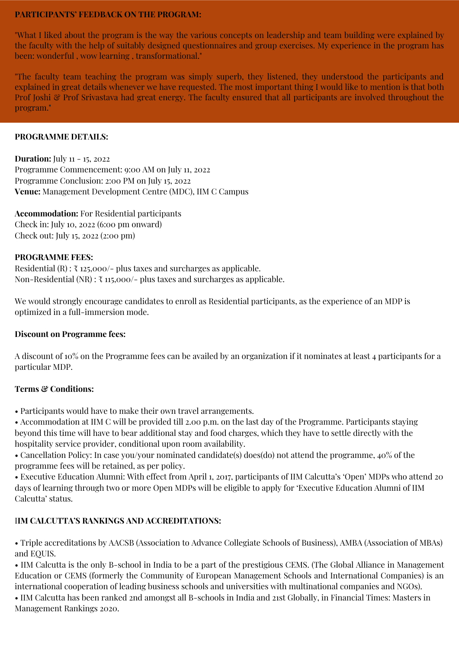#### **PARTICIPANTS' FEEDBACK ON THE PROGRAM:**

"What I liked about the program is the way the various concepts on leadership and team building were explained by the faculty with the help of suitably designed questionnaires and group exercises. My experience in the program has been: wonderful , wow learning , transformational."

"The faculty team teaching the program was simply superb, they listened, they understood the participants and explained in great details whenever we have requested. The most important thing I would like to mention is that both Prof Joshi & Prof Srivastava had great energy. The faculty ensured that all participants are involved throughout the program."

#### **PROGRAMME DETAILS:**

**Duration:** July 11 - 15, 2022 Programme Commencement: 9:00 AM on July 11, 2022 Programme Conclusion: 2:00 PM on July 15, 2022 **Venue:** Management Development Centre (MDC), IIM C Campus

**Accommodation:** For Residential participants Check in: July 10, 2022 (6:00 pm onward) Check out: July 15, 2022 (2:00 pm)

#### **PROGRAMME FEES:**

Residential (R) :  $\bar{\tau}$  125,000/- plus taxes and surcharges as applicable. Non-Residential (NR) :  $\bar{\tau}$  115,000/- plus taxes and surcharges as applicable.

We would strongly encourage candidates to enroll as Residential participants, as the experience of an MDP is optimized in a full‐immersion mode.

#### **Discount on Programme fees:**

A discount of 10% on the Programme fees can be availed by an organization if it nominates at least 4 participants for a particular MDP.

#### **Terms & Conditions:**

• Participants would have to make their own travel arrangements.

• Accommodation at IIM C will be provided till 2.00 p.m. on the last day of the Programme. Participants staying beyond this time will have to bear additional stay and food charges, which they have to settle directly with the hospitality service provider, conditional upon room availability.

• Cancellation Policy: In case you/your nominated candidate(s) does(do) not attend the programme, 40% of the programme fees will be retained, as per policy.

• Executive Education Alumni: With effect from April 1, 2017, participants of IIM Calcutta's 'Open' MDPs who attend 20 days of learning through two or more Open MDPs will be eligible to apply for 'Executive Education Alumni of IIM Calcutta' status.

#### I**IM CALCUTTA'S RANKINGS AND ACCREDITATIONS:**

• Triple accreditations by AACSB (Association to Advance Collegiate Schools of Business), AMBA (Association of MBAs) and EQUIS.

• IIM Calcutta is the only B-school in India to be a part of the prestigious CEMS. (The Global Alliance in Management Education or CEMS (formerly the Community of European Management Schools and International Companies) is an international cooperation of leading business schools and universities with multinational companies and NGOs).

• IIM Calcutta has been ranked 2nd amongst all B-schools in India and 21st Globally, in Financial Times: Masters in Management Rankings 2020.